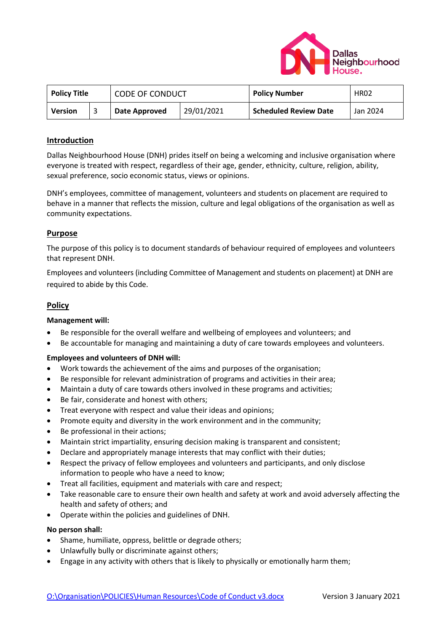

| <b>Policy Title</b> |  | <b>CODE OF CONDUCT</b> |            | <b>Policy Number</b>         | <b>HR02</b> |
|---------------------|--|------------------------|------------|------------------------------|-------------|
| <b>Version</b>      |  | Date Approved          | 29/01/2021 | <b>Scheduled Review Date</b> | Jan 2024    |

# **Introduction**

Dallas Neighbourhood House (DNH) prides itself on being a welcoming and inclusive organisation where everyone is treated with respect, regardless of their age, gender, ethnicity, culture, religion, ability, sexual preference, socio economic status, views or opinions.

DNH's employees, committee of management, volunteers and students on placement are required to behave in a manner that reflects the mission, culture and legal obligations of the organisation as well as community expectations.

# **Purpose**

The purpose of this policy is to document standards of behaviour required of employees and volunteers that represent DNH.

Employees and volunteers (including Committee of Management and students on placement) at DNH are required to abide by this Code.

# **Policy**

## **Management will:**

- Be responsible for the overall welfare and wellbeing of employees and volunteers; and
- Be accountable for managing and maintaining a duty of care towards employees and volunteers.

## **Employees and volunteers of DNH will:**

- Work towards the achievement of the aims and purposes of the organisation;
- Be responsible for relevant administration of programs and activities in their area;
- Maintain a duty of care towards others involved in these programs and activities;
- Be fair, considerate and honest with others;
- Treat everyone with respect and value their ideas and opinions;
- Promote equity and diversity in the work environment and in the community;
- Be professional in their actions;
- Maintain strict impartiality, ensuring decision making is transparent and consistent;
- Declare and appropriately manage interests that may conflict with their duties;
- Respect the privacy of fellow employees and volunteers and participants, and only disclose information to people who have a need to know;
- Treat all facilities, equipment and materials with care and respect;
- Take reasonable care to ensure their own health and safety at work and avoid adversely affecting the health and safety of others; and
- Operate within the policies and guidelines of DNH.

### **No person shall:**

- Shame, humiliate, oppress, belittle or degrade others;
- Unlawfully bully or discriminate against others;
- Engage in any activity with others that is likely to physically or emotionally harm them;